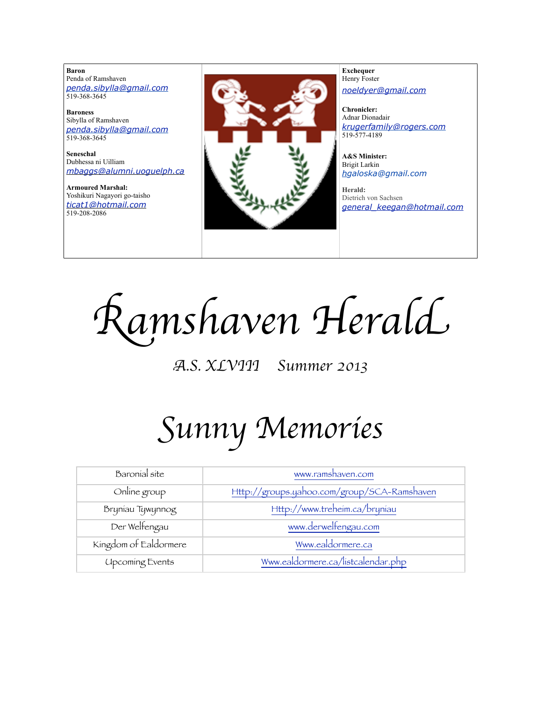**Baron**  Penda of Ramshaven *[penda.sibylla@gmail.com](mailto:penda.sibylla@gmail.com)* 519-368-3645

**Baroness** Sibylla of Ramshaven *[penda.sibylla@gmail.com](mailto:penda.sibylla@gmail.com)* 519-368-3645

**Seneschal** Dubhessa ni Uilliam *[mbaggs@alumni.uoguelph.ca](mailto:patchett@sympatico.ca)*

**Armoured Marshal:** Yoshikuri Nagayori go-taisho *[ticat1@hotmail.com](mailto:ticat1@hotmail.com)* 519-208-2086



**Exchequer** Henry Foster *[noeldyer@gmail.com](mailto:noeldyer@gmail.com)*

**Chronicler:** Adnar Dionadair *[krugerfamily@rogers.com](mailto:erhardkruger@gmail.com)* 519-577-4189

**A&S Minister:** Brigit Larkin *hgaloska@gmail.com*

**Herald:** Dietrich von Sachsen *[general\\_keegan@hotmail.com](mailto:general_keegan@hotmail.com)*

R*amshaven Heral*d

A*.S. XLVIII Summer 2013*

# S*unny Memorie*s

| Baronial site          | www.ramshaven.com                           |
|------------------------|---------------------------------------------|
| Online group           | Http://groups.yahoo.com/group/SCA-Ramshaven |
| Bryniau Tywynnog       | Http://www.treheim.ca/bryniau               |
| Der Welfengau          | www.derwelfengau.com                        |
| Kingdom of Ealdormere  | Www.ealdormere.ca                           |
| <b>Upcoming Events</b> | Www.ealdormere.ca/listcalendar.php          |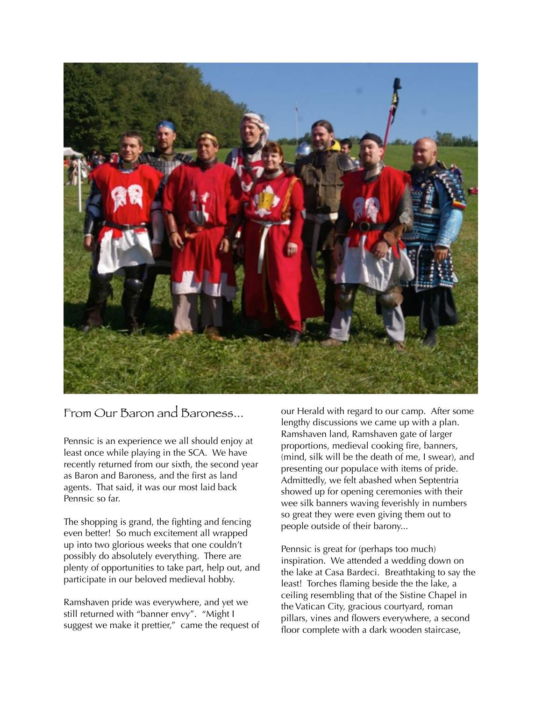

#### From Our Baron and Baroness...

Pennsic is an experience we all should enjoy at least once while playing in the SCA. We have recently returned from our sixth, the second year as Baron and Baroness, and the first as land agents. That said, it was our most laid back Pennsic so far.

The shopping is grand, the fighting and fencing even better! So much excitement all wrapped up into two glorious weeks that one couldn't possibly do absolutely everything. There are plenty of opportunities to take part, help out, and participate in our beloved medieval hobby.

Ramshaven pride was everywhere, and yet we still returned with "banner envy". "Might I suggest we make it prettier," came the request of

our Herald with regard to our camp. After some lengthy discussions we came up with a plan. Ramshaven land, Ramshaven gate of larger proportions, medieval cooking fire, banners, (mind, silk will be the death of me, I swear), and presenting our populace with items of pride. Admittedly, we felt abashed when Septentria showed up for opening ceremonies with their wee silk banners waving feverishly in numbers so great they were even giving them out to people outside of their barony...

Pennsic is great for (perhaps too much) inspiration. We attended a wedding down on the lake at Casa Bardeci. Breathtaking to say the least! Torches flaming beside the the lake, a ceiling resembling that of the Sistine Chapel in the Vatican City, gracious courtyard, roman pillars, vines and flowers everywhere, a second floor complete with a dark wooden staircase,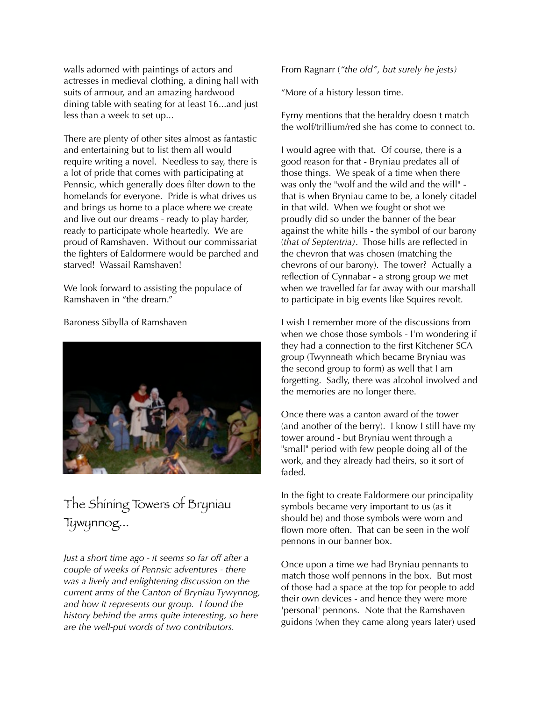walls adorned with paintings of actors and actresses in medieval clothing, a dining hall with suits of armour, and an amazing hardwood dining table with seating for at least 16...and just less than a week to set up...

There are plenty of other sites almost as fantastic and entertaining but to list them all would require writing a novel. Needless to say, there is a lot of pride that comes with participating at Pennsic, which generally does filter down to the homelands for everyone. Pride is what drives us and brings us home to a place where we create and live out our dreams - ready to play harder, ready to participate whole heartedly. We are proud of Ramshaven. Without our commissariat the fighters of Ealdormere would be parched and starved! Wassail Ramshaven!

We look forward to assisting the populace of Ramshaven in "the dream."

Baroness Sibylla of Ramshaven



## The Shining Towers of Bryniau Tywynnog...

*Just a short time ago - it seems so far off after a couple of weeks of Pennsic adventures - there was a lively and enlightening discussion on the current arms of the Canton of Bryniau Tywynnog, and how it represents our group. I found the history behind the arms quite interesting, so here are the well-put words of two contributors.*

From Ragnarr (*"the old", but surely he jests)*

"More of a history lesson time.

Eyrny mentions that the heraldry doesn't match the wolf/trillium/red she has come to connect to.

I would agree with that. Of course, there is a good reason for that - Bryniau predates all of those things. We speak of a time when there was only the "wolf and the wild and the will" that is when Bryniau came to be, a lonely citadel in that wild. When we fought or shot we proudly did so under the banner of the bear against the white hills - the symbol of our barony (*that of Septentria)*. Those hills are reflected in the chevron that was chosen (matching the chevrons of our barony). The tower? Actually a reflection of Cynnabar - a strong group we met when we travelled far far away with our marshall to participate in big events like Squires revolt.

I wish I remember more of the discussions from when we chose those symbols - I'm wondering if they had a connection to the first Kitchener SCA group (Twynneath which became Bryniau was the second group to form) as well that I am forgetting. Sadly, there was alcohol involved and the memories are no longer there.

Once there was a canton award of the tower (and another of the berry). I know I still have my tower around - but Bryniau went through a "small" period with few people doing all of the work, and they already had theirs, so it sort of faded.

In the fight to create Ealdormere our principality symbols became very important to us (as it should be) and those symbols were worn and flown more often. That can be seen in the wolf pennons in our banner box.

Once upon a time we had Bryniau pennants to match those wolf pennons in the box. But most of those had a space at the top for people to add their own devices - and hence they were more 'personal' pennons. Note that the Ramshaven guidons (when they came along years later) used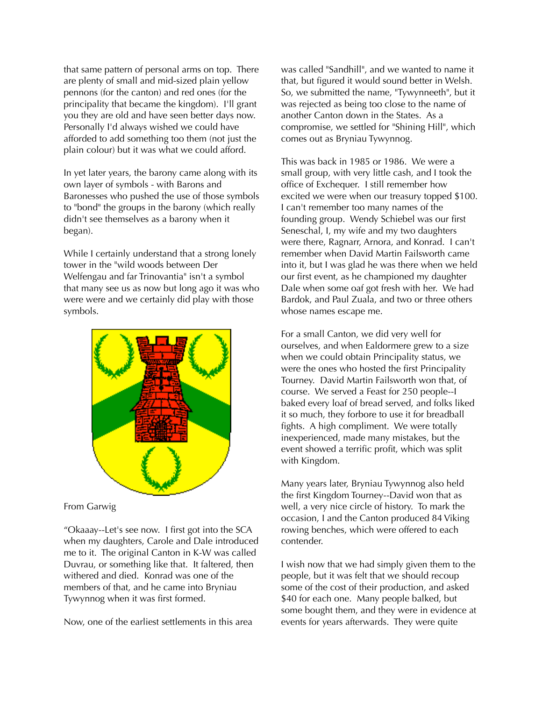that same pattern of personal arms on top. There are plenty of small and mid-sized plain yellow pennons (for the canton) and red ones (for the principality that became the kingdom). I'll grant you they are old and have seen better days now. Personally I'd always wished we could have afforded to add something too them (not just the plain colour) but it was what we could afford.

In yet later years, the barony came along with its own layer of symbols - with Barons and Baronesses who pushed the use of those symbols to "bond" the groups in the barony (which really didn't see themselves as a barony when it began).

While I certainly understand that a strong lonely tower in the "wild woods between Der Welfengau and far Trinovantia" isn't a symbol that many see us as now but long ago it was who were were and we certainly did play with those symbols.



#### From Garwig

"Okaaay--Let's see now. I first got into the SCA when my daughters, Carole and Dale introduced me to it. The original Canton in K-W was called Duvrau, or something like that. It faltered, then withered and died. Konrad was one of the members of that, and he came into Bryniau Tywynnog when it was first formed.

Now, one of the earliest settlements in this area

was called "Sandhill", and we wanted to name it that, but figured it would sound better in Welsh. So, we submitted the name, "Tywynneeth", but it was rejected as being too close to the name of another Canton down in the States. As a compromise, we settled for "Shining Hill", which comes out as Bryniau Tywynnog.

This was back in 1985 or 1986. We were a small group, with very little cash, and I took the office of Exchequer. I still remember how excited we were when our treasury topped \$100. I can't remember too many names of the founding group. Wendy Schiebel was our first Seneschal, I, my wife and my two daughters were there, Ragnarr, Arnora, and Konrad. I can't remember when David Martin Failsworth came into it, but I was glad he was there when we held our first event, as he championed my daughter Dale when some oaf got fresh with her. We had Bardok, and Paul Zuala, and two or three others whose names escape me.

For a small Canton, we did very well for ourselves, and when Ealdormere grew to a size when we could obtain Principality status, we were the ones who hosted the first Principality Tourney. David Martin Failsworth won that, of course. We served a Feast for 250 people--I baked every loaf of bread served, and folks liked it so much, they forbore to use it for breadball fights. A high compliment. We were totally inexperienced, made many mistakes, but the event showed a terrific profit, which was split with Kingdom.

Many years later, Bryniau Tywynnog also held the first Kingdom Tourney--David won that as well, a very nice circle of history. To mark the occasion, I and the Canton produced 84 Viking rowing benches, which were offered to each contender.

I wish now that we had simply given them to the people, but it was felt that we should recoup some of the cost of their production, and asked \$40 for each one. Many people balked, but some bought them, and they were in evidence at events for years afterwards. They were quite